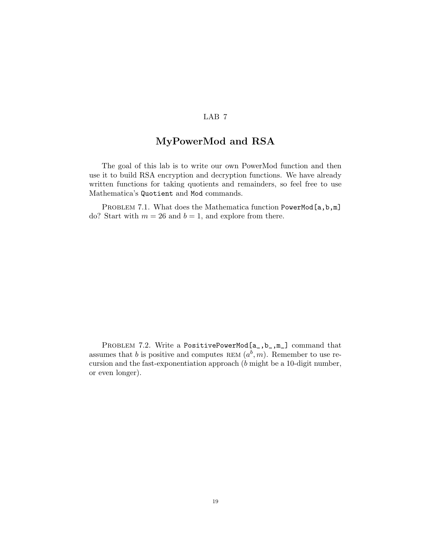## LAB 7

## MyPowerMod and RSA

The goal of this lab is to write our own PowerMod function and then use it to build RSA encryption and decryption functions. We have already written functions for taking quotients and remainders, so feel free to use Mathematica's Quotient and Mod commands.

PROBLEM 7.1. What does the Mathematica function PowerMod[a,b,m] do? Start with  $m = 26$  and  $b = 1$ , and explore from there.

PROBLEM 7.2. Write a PositivePowerMod[a\_,b\_,m\_] command that assumes that b is positive and computes REM  $(a^b, m)$ . Remember to use recursion and the fast-exponentiation approach (b might be a 10-digit number, or even longer).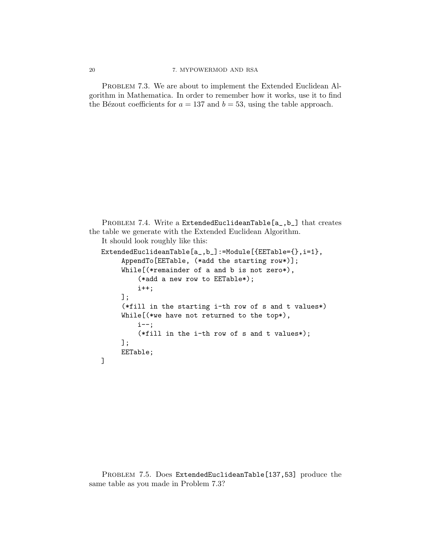PROBLEM 7.3. We are about to implement the Extended Euclidean Algorithm in Mathematica. In order to remember how it works, use it to find the Bézout coefficients for  $a = 137$  and  $b = 53$ , using the table approach.

```
PROBLEM 7.4. Write a ExtendedEuclideanTable[a_,b_] that creates
the table we generate with the Extended Euclidean Algorithm.
   It should look roughly like this:
   ExtendedEuclideanTable[a_,b_]:=Module[{EETable={},i=1},
        AppendTo[EETable, (*add the starting row*)];
        While[(*remainder of a and b is not zero*),
            (*add a new row to EETable*);
            i++;
        ];
        (*fill in the starting i-th row of s and t values*)
        While[(*we have not returned to the top*),
            i--;
            (*fill in the i-th row of s and t values*);
        ];
        EETable;
   ]
```
PROBLEM 7.5. Does ExtendedEuclideanTable[137,53] produce the same table as you made in Problem 7.3?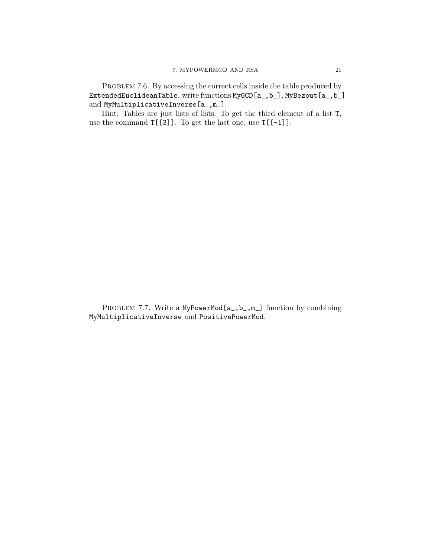PROBLEM 7.6. By accessing the correct cells inside the table produced by ExtendedEuclideanTable, write functions MyGCD[a\_,b\_], MyBezout[a\_,b\_] and MyMultiplicativeInverse[a\_,m\_].

Hint: Tables are just lists of lists. To get the third element of a list T, use the command  $T[[3]]$ . To get the last one, use  $T[[-1]]$ .

PROBLEM 7.7. Write a MyPowerMod[a\_,b\_,m\_] function by combining MyMultiplicativeInverse and PositivePowerMod.